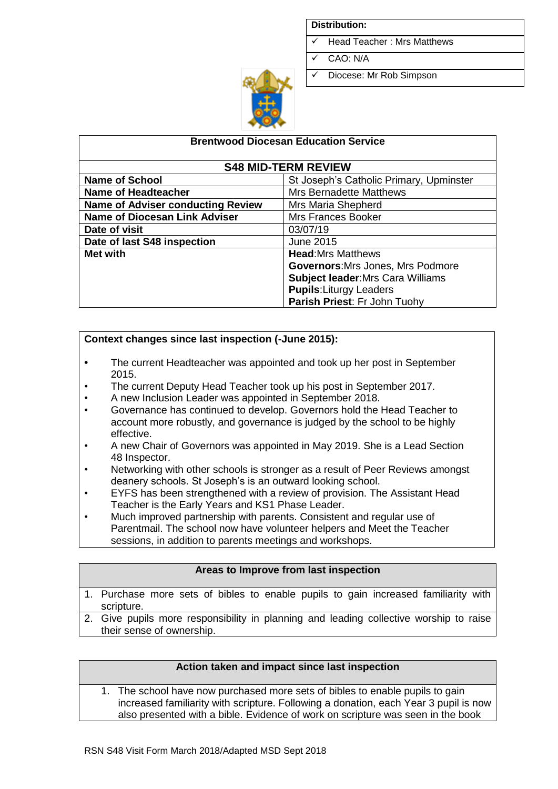#### **Distribution:**

- Head Teacher: Mrs Matthews
- ✓ CAO: N/A
- ✓ Diocese: Mr Rob Simpson



| <b>Brentwood Diocesan Education Service</b> |                                          |  |  |  |
|---------------------------------------------|------------------------------------------|--|--|--|
| <b>S48 MID-TERM REVIEW</b>                  |                                          |  |  |  |
| <b>Name of School</b>                       | St Joseph's Catholic Primary, Upminster  |  |  |  |
| <b>Name of Headteacher</b>                  | <b>Mrs Bernadette Matthews</b>           |  |  |  |
| <b>Name of Adviser conducting Review</b>    | Mrs Maria Shepherd                       |  |  |  |
| <b>Name of Diocesan Link Adviser</b>        | <b>Mrs Frances Booker</b>                |  |  |  |
| Date of visit                               | 03/07/19                                 |  |  |  |
| Date of last S48 inspection                 | June 2015                                |  |  |  |
| <b>Met with</b>                             | <b>Head:</b> Mrs Matthews                |  |  |  |
|                                             | <b>Governors:</b> Mrs Jones, Mrs Podmore |  |  |  |
|                                             | <b>Subject leader: Mrs Cara Williams</b> |  |  |  |
|                                             | <b>Pupils:</b> Liturgy Leaders           |  |  |  |
|                                             | Parish Priest: Fr John Tuohy             |  |  |  |

### **Context changes since last inspection (-June 2015):**

- **•** The current Headteacher was appointed and took up her post in September 2015.
- The current Deputy Head Teacher took up his post in September 2017.
- A new Inclusion Leader was appointed in September 2018.
- Governance has continued to develop. Governors hold the Head Teacher to account more robustly, and governance is judged by the school to be highly effective.
- A new Chair of Governors was appointed in May 2019. She is a Lead Section 48 Inspector.
- Networking with other schools is stronger as a result of Peer Reviews amongst deanery schools. St Joseph's is an outward looking school.
- EYFS has been strengthened with a review of provision. The Assistant Head Teacher is the Early Years and KS1 Phase Leader.
- Much improved partnership with parents. Consistent and regular use of Parentmail. The school now have volunteer helpers and Meet the Teacher sessions, in addition to parents meetings and workshops.

### **Areas to Improve from last inspection**

- 1. Purchase more sets of bibles to enable pupils to gain increased familiarity with scripture.
- 2. Give pupils more responsibility in planning and leading collective worship to raise their sense of ownership.

### **Action taken and impact since last inspection**

1. The school have now purchased more sets of bibles to enable pupils to gain increased familiarity with scripture. Following a donation, each Year 3 pupil is now also presented with a bible. Evidence of work on scripture was seen in the book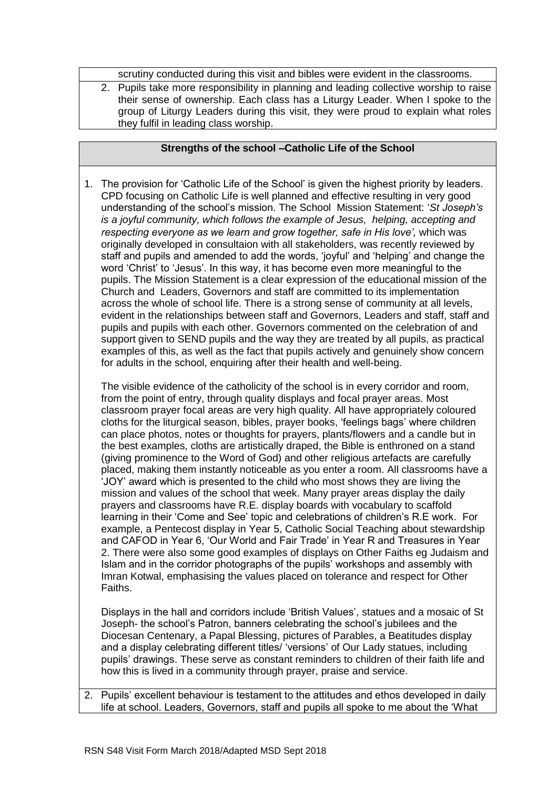scrutiny conducted during this visit and bibles were evident in the classrooms.

2. Pupils take more responsibility in planning and leading collective worship to raise their sense of ownership. Each class has a Liturgy Leader. When I spoke to the group of Liturgy Leaders during this visit, they were proud to explain what roles they fulfil in leading class worship.

### **Strengths of the school –Catholic Life of the School**

1. The provision for 'Catholic Life of the School' is given the highest priority by leaders. CPD focusing on Catholic Life is well planned and effective resulting in very good understanding of the school's mission. The School Mission Statement: '*St Joseph's is a joyful community, which follows the example of Jesus, helping, accepting and respecting everyone as we learn and grow together, safe in His love',* which was originally developed in consultaion with all stakeholders, was recently reviewed by staff and pupils and amended to add the words, 'joyful' and 'helping' and change the word 'Christ' to 'Jesus'. In this way, it has become even more meaningful to the pupils. The Mission Statement is a clear expression of the educational mission of the Church and Leaders, Governors and staff are committed to its implementation across the whole of school life. There is a strong sense of community at all levels, evident in the relationships between staff and Governors, Leaders and staff, staff and pupils and pupils with each other. Governors commented on the celebration of and support given to SEND pupils and the way they are treated by all pupils, as practical examples of this, as well as the fact that pupils actively and genuinely show concern for adults in the school, enquiring after their health and well-being.

The visible evidence of the catholicity of the school is in every corridor and room, from the point of entry, through quality displays and focal prayer areas. Most classroom prayer focal areas are very high quality. All have appropriately coloured cloths for the liturgical season, bibles, prayer books, 'feelings bags' where children can place photos, notes or thoughts for prayers, plants/flowers and a candle but in the best examples, cloths are artistically draped, the Bible is enthroned on a stand (giving prominence to the Word of God) and other religious artefacts are carefully placed, making them instantly noticeable as you enter a room. All classrooms have a 'JOY' award which is presented to the child who most shows they are living the mission and values of the school that week. Many prayer areas display the daily prayers and classrooms have R.E. display boards with vocabulary to scaffold learning in their 'Come and See' topic and celebrations of children's R.E work. For example, a Pentecost display in Year 5, Catholic Social Teaching about stewardship and CAFOD in Year 6, 'Our World and Fair Trade' in Year R and Treasures in Year 2. There were also some good examples of displays on Other Faiths eg Judaism and Islam and in the corridor photographs of the pupils' workshops and assembly with Imran Kotwal, emphasising the values placed on tolerance and respect for Other Faiths.

Displays in the hall and corridors include 'British Values', statues and a mosaic of St Joseph- the school's Patron, banners celebrating the school's jubilees and the Diocesan Centenary, a Papal Blessing, pictures of Parables, a Beatitudes display and a display celebrating different titles/ 'versions' of Our Lady statues, including pupils' drawings. These serve as constant reminders to children of their faith life and how this is lived in a community through prayer, praise and service.

2. Pupils' excellent behaviour is testament to the attitudes and ethos developed in daily life at school. Leaders, Governors, staff and pupils all spoke to me about the 'What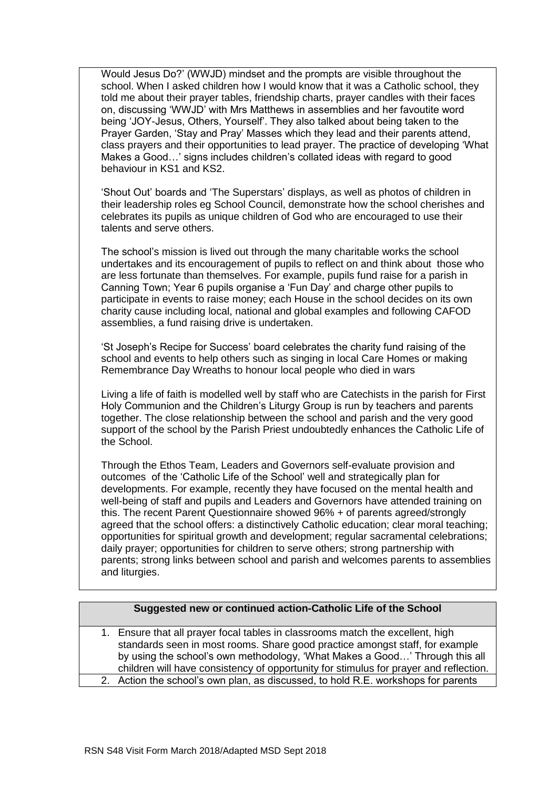Would Jesus Do?' (WWJD) mindset and the prompts are visible throughout the school. When I asked children how I would know that it was a Catholic school, they told me about their prayer tables, friendship charts, prayer candles with their faces on, discussing 'WWJD' with Mrs Matthews in assemblies and her favoutite word being 'JOY-Jesus, Others, Yourself'. They also talked about being taken to the Prayer Garden, 'Stay and Pray' Masses which they lead and their parents attend, class prayers and their opportunities to lead prayer. The practice of developing 'What Makes a Good…' signs includes children's collated ideas with regard to good behaviour in KS1 and KS2.

'Shout Out' boards and 'The Superstars' displays, as well as photos of children in their leadership roles eg School Council, demonstrate how the school cherishes and celebrates its pupils as unique children of God who are encouraged to use their talents and serve others.

The school's mission is lived out through the many charitable works the school undertakes and its encouragement of pupils to reflect on and think about those who are less fortunate than themselves. For example, pupils fund raise for a parish in Canning Town; Year 6 pupils organise a 'Fun Day' and charge other pupils to participate in events to raise money; each House in the school decides on its own charity cause including local, national and global examples and following CAFOD assemblies, a fund raising drive is undertaken.

'St Joseph's Recipe for Success' board celebrates the charity fund raising of the school and events to help others such as singing in local Care Homes or making Remembrance Day Wreaths to honour local people who died in wars

Living a life of faith is modelled well by staff who are Catechists in the parish for First Holy Communion and the Children's Liturgy Group is run by teachers and parents together. The close relationship between the school and parish and the very good support of the school by the Parish Priest undoubtedly enhances the Catholic Life of the School.

Through the Ethos Team, Leaders and Governors self-evaluate provision and outcomes of the 'Catholic Life of the School' well and strategically plan for developments. For example, recently they have focused on the mental health and well-being of staff and pupils and Leaders and Governors have attended training on this. The recent Parent Questionnaire showed 96% + of parents agreed/strongly agreed that the school offers: a distinctively Catholic education; clear moral teaching; opportunities for spiritual growth and development; regular sacramental celebrations; daily prayer; opportunities for children to serve others; strong partnership with parents; strong links between school and parish and welcomes parents to assemblies and liturgies.

## **Suggested new or continued action-Catholic Life of the School**

1. Ensure that all prayer focal tables in classrooms match the excellent, high standards seen in most rooms. Share good practice amongst staff, for example by using the school's own methodology, 'What Makes a Good…' Through this all children will have consistency of opportunity for stimulus for prayer and reflection. 2. Action the school's own plan, as discussed, to hold R.E. workshops for parents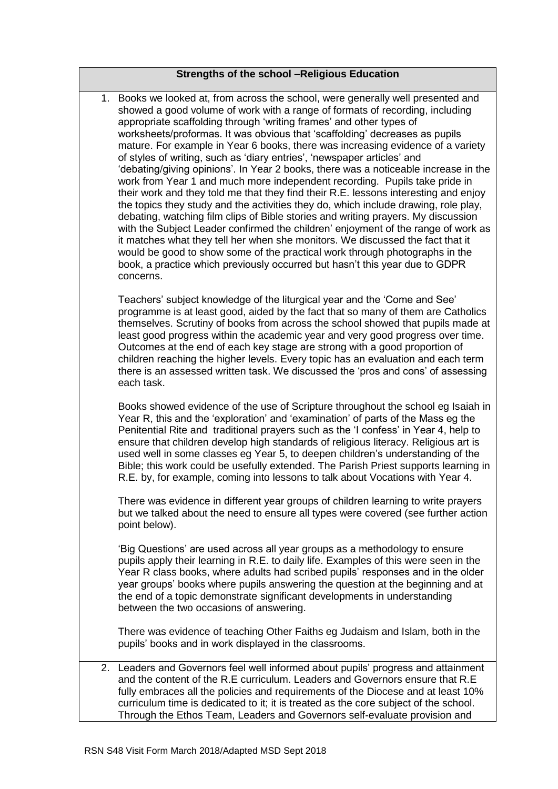| Strengths of the school -Religious Education |
|----------------------------------------------|
|----------------------------------------------|

1. Books we looked at, from across the school, were generally well presented and showed a good volume of work with a range of formats of recording, including appropriate scaffolding through 'writing frames' and other types of worksheets/proformas. It was obvious that 'scaffolding' decreases as pupils mature. For example in Year 6 books, there was increasing evidence of a variety of styles of writing, such as 'diary entries', 'newspaper articles' and 'debating/giving opinions'. In Year 2 books, there was a noticeable increase in the work from Year 1 and much more independent recording. Pupils take pride in their work and they told me that they find their R.E. lessons interesting and enjoy the topics they study and the activities they do, which include drawing, role play, debating, watching film clips of Bible stories and writing prayers. My discussion with the Subject Leader confirmed the children' enjoyment of the range of work as it matches what they tell her when she monitors. We discussed the fact that it would be good to show some of the practical work through photographs in the book, a practice which previously occurred but hasn't this year due to GDPR concerns.

Teachers' subject knowledge of the liturgical year and the 'Come and See' programme is at least good, aided by the fact that so many of them are Catholics themselves. Scrutiny of books from across the school showed that pupils made at least good progress within the academic year and very good progress over time. Outcomes at the end of each key stage are strong with a good proportion of children reaching the higher levels. Every topic has an evaluation and each term there is an assessed written task. We discussed the 'pros and cons' of assessing each task.

Books showed evidence of the use of Scripture throughout the school eg Isaiah in Year R, this and the 'exploration' and 'examination' of parts of the Mass eg the Penitential Rite and traditional prayers such as the 'I confess' in Year 4, help to ensure that children develop high standards of religious literacy. Religious art is used well in some classes eg Year 5, to deepen children's understanding of the Bible; this work could be usefully extended. The Parish Priest supports learning in R.E. by, for example, coming into lessons to talk about Vocations with Year 4.

There was evidence in different year groups of children learning to write prayers but we talked about the need to ensure all types were covered (see further action point below).

'Big Questions' are used across all year groups as a methodology to ensure pupils apply their learning in R.E. to daily life. Examples of this were seen in the Year R class books, where adults had scribed pupils' responses and in the older year groups' books where pupils answering the question at the beginning and at the end of a topic demonstrate significant developments in understanding between the two occasions of answering.

There was evidence of teaching Other Faiths eg Judaism and Islam, both in the pupils' books and in work displayed in the classrooms.

2. Leaders and Governors feel well informed about pupils' progress and attainment and the content of the R.E curriculum. Leaders and Governors ensure that R.E fully embraces all the policies and requirements of the Diocese and at least 10% curriculum time is dedicated to it; it is treated as the core subject of the school. Through the Ethos Team, Leaders and Governors self-evaluate provision and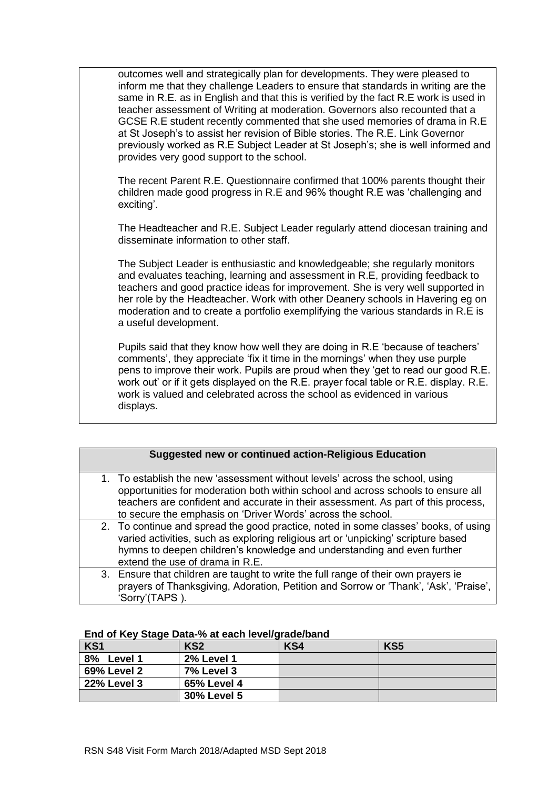outcomes well and strategically plan for developments. They were pleased to inform me that they challenge Leaders to ensure that standards in writing are the same in R.E. as in English and that this is verified by the fact R.E work is used in teacher assessment of Writing at moderation. Governors also recounted that a GCSE R.E student recently commented that she used memories of drama in R.E at St Joseph's to assist her revision of Bible stories. The R.E. Link Governor previously worked as R.E Subject Leader at St Joseph's; she is well informed and provides very good support to the school.

The recent Parent R.E. Questionnaire confirmed that 100% parents thought their children made good progress in R.E and 96% thought R.E was 'challenging and exciting'.

The Headteacher and R.E. Subject Leader regularly attend diocesan training and disseminate information to other staff.

The Subject Leader is enthusiastic and knowledgeable; she regularly monitors and evaluates teaching, learning and assessment in R.E, providing feedback to teachers and good practice ideas for improvement. She is very well supported in her role by the Headteacher. Work with other Deanery schools in Havering eg on moderation and to create a portfolio exemplifying the various standards in R.E is a useful development.

Pupils said that they know how well they are doing in R.E 'because of teachers' comments', they appreciate 'fix it time in the mornings' when they use purple pens to improve their work. Pupils are proud when they 'get to read our good R.E. work out' or if it gets displayed on the R.E. prayer focal table or R.E. display. R.E. work is valued and celebrated across the school as evidenced in various displays.

| <b>Suggested new or continued action-Religious Education</b>                                                                                                                                                                                                                                                         |
|----------------------------------------------------------------------------------------------------------------------------------------------------------------------------------------------------------------------------------------------------------------------------------------------------------------------|
| 1. To establish the new 'assessment without levels' across the school, using<br>opportunities for moderation both within school and across schools to ensure all<br>teachers are confident and accurate in their assessment. As part of this process,<br>to secure the emphasis on 'Driver Words' across the school. |
| 2. To continue and spread the good practice, noted in some classes' books, of using<br>varied activities, such as exploring religious art or 'unpicking' scripture based<br>hymns to deepen children's knowledge and understanding and even further<br>extend the use of drama in R.E.                               |
| 3. Ensure that children are taught to write the full range of their own prayers ie<br>prayers of Thanksgiving, Adoration, Petition and Sorrow or 'Thank', 'Ask', 'Praise',<br>'Sorry'(TAPS).                                                                                                                         |

| . .                |                    |     |                 |
|--------------------|--------------------|-----|-----------------|
| KS <sub>1</sub>    | KS <sub>2</sub>    | KS4 | KS <sub>5</sub> |
| 8%<br>Level 1      | <b>2% Level 1</b>  |     |                 |
| 69% Level 2        | <b>7% Level 3</b>  |     |                 |
| <b>22% Level 3</b> | 65% Level 4        |     |                 |
|                    | <b>30% Level 5</b> |     |                 |

#### **End of Key Stage Data-% at each level/grade/band**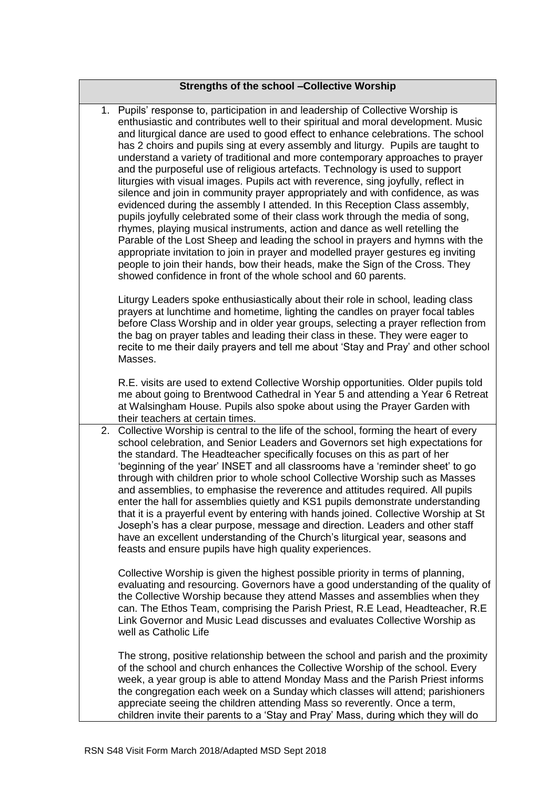1. Pupils' response to, participation in and leadership of Collective Worship is enthusiastic and contributes well to their spiritual and moral development. Music and liturgical dance are used to good effect to enhance celebrations. The school has 2 choirs and pupils sing at every assembly and liturgy. Pupils are taught to understand a variety of traditional and more contemporary approaches to prayer and the purposeful use of religious artefacts. Technology is used to support liturgies with visual images. Pupils act with reverence, sing joyfully, reflect in silence and join in community prayer appropriately and with confidence, as was evidenced during the assembly I attended. In this Reception Class assembly, pupils joyfully celebrated some of their class work through the media of song, rhymes, playing musical instruments, action and dance as well retelling the Parable of the Lost Sheep and leading the school in prayers and hymns with the appropriate invitation to join in prayer and modelled prayer gestures eg inviting people to join their hands, bow their heads, make the Sign of the Cross. They showed confidence in front of the whole school and 60 parents.

Liturgy Leaders spoke enthusiastically about their role in school, leading class prayers at lunchtime and hometime, lighting the candles on prayer focal tables before Class Worship and in older year groups, selecting a prayer reflection from the bag on prayer tables and leading their class in these. They were eager to recite to me their daily prayers and tell me about 'Stay and Pray' and other school Masses.

R.E. visits are used to extend Collective Worship opportunities. Older pupils told me about going to Brentwood Cathedral in Year 5 and attending a Year 6 Retreat at Walsingham House. Pupils also spoke about using the Prayer Garden with their teachers at certain times.

2. Collective Worship is central to the life of the school, forming the heart of every school celebration, and Senior Leaders and Governors set high expectations for the standard. The Headteacher specifically focuses on this as part of her 'beginning of the year' INSET and all classrooms have a 'reminder sheet' to go through with children prior to whole school Collective Worship such as Masses and assemblies, to emphasise the reverence and attitudes required. All pupils enter the hall for assemblies quietly and KS1 pupils demonstrate understanding that it is a prayerful event by entering with hands joined. Collective Worship at St Joseph's has a clear purpose, message and direction. Leaders and other staff have an excellent understanding of the Church's liturgical year, seasons and feasts and ensure pupils have high quality experiences.

Collective Worship is given the highest possible priority in terms of planning, evaluating and resourcing. Governors have a good understanding of the quality of the Collective Worship because they attend Masses and assemblies when they can. The Ethos Team, comprising the Parish Priest, R.E Lead, Headteacher, R.E Link Governor and Music Lead discusses and evaluates Collective Worship as well as Catholic Life

The strong, positive relationship between the school and parish and the proximity of the school and church enhances the Collective Worship of the school. Every week, a year group is able to attend Monday Mass and the Parish Priest informs the congregation each week on a Sunday which classes will attend; parishioners appreciate seeing the children attending Mass so reverently. Once a term, children invite their parents to a 'Stay and Pray' Mass, during which they will do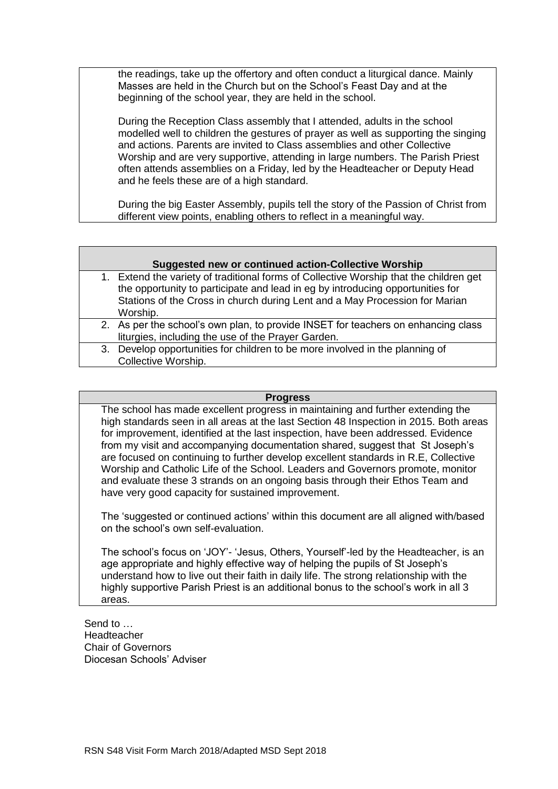the readings, take up the offertory and often conduct a liturgical dance. Mainly Masses are held in the Church but on the School's Feast Day and at the beginning of the school year, they are held in the school.

During the Reception Class assembly that I attended, adults in the school modelled well to children the gestures of prayer as well as supporting the singing and actions. Parents are invited to Class assemblies and other Collective Worship and are very supportive, attending in large numbers. The Parish Priest often attends assemblies on a Friday, led by the Headteacher or Deputy Head and he feels these are of a high standard.

During the big Easter Assembly, pupils tell the story of the Passion of Christ from different view points, enabling others to reflect in a meaningful way.

| Suggested new or continued action-Collective Worship                                                                                                                                                                                                                |
|---------------------------------------------------------------------------------------------------------------------------------------------------------------------------------------------------------------------------------------------------------------------|
| 1. Extend the variety of traditional forms of Collective Worship that the children get<br>the opportunity to participate and lead in eg by introducing opportunities for<br>Stations of the Cross in church during Lent and a May Procession for Marian<br>Worship. |
| 2. As per the school's own plan, to provide INSET for teachers on enhancing class<br>liturgies, including the use of the Prayer Garden.                                                                                                                             |
| 3. Develop opportunities for children to be more involved in the planning of<br>Collective Worship.                                                                                                                                                                 |

#### **Progress**

The school has made excellent progress in maintaining and further extending the high standards seen in all areas at the last Section 48 Inspection in 2015. Both areas for improvement, identified at the last inspection, have been addressed. Evidence from my visit and accompanying documentation shared, suggest that St Joseph's are focused on continuing to further develop excellent standards in R.E, Collective Worship and Catholic Life of the School. Leaders and Governors promote, monitor and evaluate these 3 strands on an ongoing basis through their Ethos Team and have very good capacity for sustained improvement.

The 'suggested or continued actions' within this document are all aligned with/based on the school's own self-evaluation.

The school's focus on 'JOY'- 'Jesus, Others, Yourself'-led by the Headteacher, is an age appropriate and highly effective way of helping the pupils of St Joseph's understand how to live out their faith in daily life. The strong relationship with the highly supportive Parish Priest is an additional bonus to the school's work in all 3 areas.

Send to … Headteacher Chair of Governors Diocesan Schools' Adviser